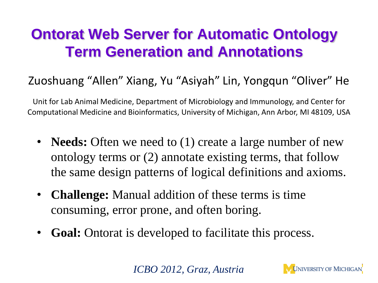## **Ontorat Web Server for Automatic Ontology Term Generation and Annotations**

### Zuoshuang "Allen" Xiang, Yu "Asiyah" Lin, Yongqun "Oliver" He

Unit for Lab Animal Medicine, Department of Microbiology and Immunology, and Center for Computational Medicine and Bioinformatics, University of Michigan, Ann Arbor, MI 48109, USA

- **Needs:** Often we need to (1) create a large number of new ontology terms or (2) annotate existing terms, that follow the same design patterns of logical definitions and axioms.
- **Challenge:** Manual addition of these terms is time consuming, error prone, and often boring.
- **Goal:** Ontorat is developed to facilitate this process.

*ICBO 2012, Graz, Austria*

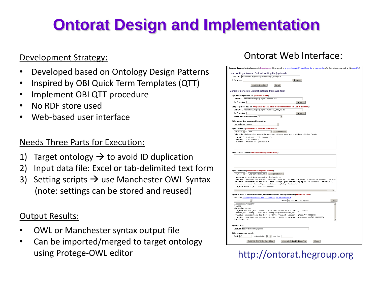# **Ontorat Design and Implementation**

#### Development Strategy:

- Developed based on Ontology Design Patterns
- Inspired by OBI Quick Term Templates (QTT)
- Implement OBI QTT procedure
- No RDF store used
- Web-based user interface

#### Needs Three Parts for Execution:

- 1) Target ontology  $\rightarrow$  to avoid ID duplication
- 2) Input data file: Excel or tab-delimited text form
- 3) Setting scripts  $\rightarrow$  use Manchester OWL Syntax (note: settings can be stored and reused)

#### Output Results:

- OWL or Manchester syntax output file
- Can be imported/merged to target ontology using Protege-OWL editor http://ontorat.hegroup.org

#### Ontorat Web Interface:

| Load settings from an Ontorat setting file (optional):                                                         |                                                                                                                                                                                              |                                       |     |  |
|----------------------------------------------------------------------------------------------------------------|----------------------------------------------------------------------------------------------------------------------------------------------------------------------------------------------|---------------------------------------|-----|--|
| Online URL: http://ontorat.hegroup.org/examples/eg1 settings.td                                                |                                                                                                                                                                                              |                                       |     |  |
| Or file upload:                                                                                                |                                                                                                                                                                                              | <b>Browse</b>                         |     |  |
| Load Settings File                                                                                             | Reset                                                                                                                                                                                        |                                       |     |  |
|                                                                                                                |                                                                                                                                                                                              |                                       |     |  |
| Manually generate Ontorat settings from web form:                                                              |                                                                                                                                                                                              |                                       |     |  |
| (1) Specify target OWL file (RDF /XML format):                                                                 |                                                                                                                                                                                              |                                       |     |  |
| Online URL: http://ontorat.hegroup.org/examplesivo.owl                                                         |                                                                                                                                                                                              |                                       |     |  |
| Or: File upload:                                                                                               |                                                                                                                                                                                              | Browse                                |     |  |
|                                                                                                                | (2) Specify input data file (Only Excel file (.xls, .xlsx) or tab-delimited text file (.txt) is accepted):                                                                                   |                                       |     |  |
| Online URL: http://ontorat.hegroup.org/examples/eg1_data_file.xlsx                                             |                                                                                                                                                                                              |                                       |     |  |
| Or: File upload:                                                                                               |                                                                                                                                                                                              | Browse                                |     |  |
| Actual data starts from row: 2                                                                                 |                                                                                                                                                                                              |                                       |     |  |
| (3) Purpose: New axioms will be used to:                                                                       |                                                                                                                                                                                              |                                       |     |  |
| generate new classes                                                                                           |                                                                                                                                                                                              |                                       |     |  |
| (4) Annotations (use comma to separate annotations):                                                           |                                                                                                                                                                                              |                                       |     |  |
| column A - as label                                                                                            | - Add annotaion                                                                                                                                                                              |                                       |     |  |
|                                                                                                                | Note: All the listed annotation terms will be recognized in Ontorat, so no need to add them to Section 7 again.                                                                              |                                       |     |  |
| 'label' "{\$columnA} ({\$columnB})",                                                                           |                                                                                                                                                                                              |                                       |     |  |
| seeklso' "{\$columnB}",                                                                                        |                                                                                                                                                                                              |                                       |     |  |
| seeAlso' "violinID:(\$columno)"                                                                                |                                                                                                                                                                                              |                                       |     |  |
|                                                                                                                |                                                                                                                                                                                              |                                       |     |  |
| (5) Equivalent classes (use comma to separate classes):                                                        |                                                                                                                                                                                              |                                       |     |  |
|                                                                                                                |                                                                                                                                                                                              |                                       |     |  |
|                                                                                                                |                                                                                                                                                                                              |                                       |     |  |
| (6) Superclasses (use comma to separate classes):<br>column A - as full or partial term URI - Add parent class |                                                                                                                                                                                              |                                       |     |  |
| <http: (\$columnd)="" obo="" pur.obolibrary.og="">,</http:>                                                    |                                                                                                                                                                                              |                                       |     |  |
|                                                                                                                | vaccine immunization against microbe' some <http: (\$column<="" ncbitaxon="" obo="" pur.obolibrary.og="" td=""><td></td><td></td><td></td></http:>                                           |                                       |     |  |
|                                                                                                                | vaccine immunization for host' some <http: (\$columnh)="" ncbitaxon="" obo="" pur.obolibrary.og="">,<br/>bearer of' some <http: (\$columnl)="" obo="" pur.obolibrary.og="">,</http:></http:> |                                       |     |  |
| is manufactured by' some ((\$columnN))                                                                         |                                                                                                                                                                                              |                                       |     |  |
|                                                                                                                |                                                                                                                                                                                              |                                       |     |  |
|                                                                                                                | (7) Terms used to define anntoations, equivalent classes, and superclasses (one line per term):                                                                                              |                                       |     |  |
|                                                                                                                | Examples: rdfs:label.jiao:preferredTerm.jiao:definition.jiao:alternative.term.                                                                                                               |                                       |     |  |
| $\overline{\phantom{a}}$<br>Class                                                                              |                                                                                                                                                                                              | has URI http://pur.obolibrary.og/obo/ | Add |  |
| AnnotationProperty:                                                                                            |                                                                                                                                                                                              |                                       |     |  |
| Class:                                                                                                         |                                                                                                                                                                                              |                                       |     |  |
| ObjectProperty:                                                                                                | 'is manufactured by': < http://purl.obolibrary.org/obo/OBI 0000304>                                                                                                                          |                                       |     |  |
|                                                                                                                | bearer of': <http: bearer="" obo="" of="" purl.obolibrary.org=""><br/>vaccine immunization for host': <http: 0001243="" obo="" pur.obolibrary.og="" vo=""></http:></http:>                   |                                       |     |  |
|                                                                                                                | vaccine immunization against microbe': <http: 0003355="" obo="" pur.obolibrary.og="" v0=""></http:>                                                                                          |                                       |     |  |
| DataProperty:                                                                                                  |                                                                                                                                                                                              |                                       |     |  |
|                                                                                                                |                                                                                                                                                                                              |                                       |     |  |
| (8) Term URIs:                                                                                                 |                                                                                                                                                                                              |                                       |     |  |
| Start with http://pur.obolibrary.og/obo/                                                                       |                                                                                                                                                                                              |                                       |     |  |
| (9) Auto-generated term ID:                                                                                    |                                                                                                                                                                                              |                                       |     |  |
| Prefix VO                                                                                                      | number of digits: 7   start from 1                                                                                                                                                           |                                       |     |  |